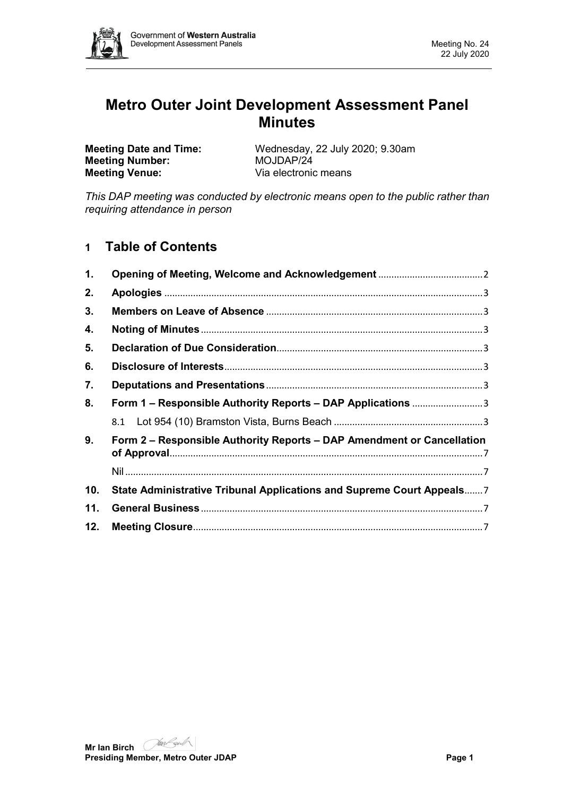

# **Metro Outer Joint Development Assessment Panel Minutes**

**Meeting Number:**<br>**Meeting Venue:** 

**Meeting Date and Time:** Wednesday, 22 July 2020; 9.30am<br> **Meeting Number:** MOJDAP/24 Via electronic means

*This DAP meeting was conducted by electronic means open to the public rather than requiring attendance in person*

# **1 Table of Contents**

| 1.  |                                                                        |  |  |  |
|-----|------------------------------------------------------------------------|--|--|--|
| 2.  |                                                                        |  |  |  |
| 3.  |                                                                        |  |  |  |
| 4.  |                                                                        |  |  |  |
| 5.  |                                                                        |  |  |  |
| 6.  |                                                                        |  |  |  |
| 7.  |                                                                        |  |  |  |
| 8.  | Form 1 – Responsible Authority Reports – DAP Applications 3            |  |  |  |
|     |                                                                        |  |  |  |
| 9.  | Form 2 – Responsible Authority Reports – DAP Amendment or Cancellation |  |  |  |
|     |                                                                        |  |  |  |
| 10. | State Administrative Tribunal Applications and Supreme Court Appeals7  |  |  |  |
| 11. |                                                                        |  |  |  |
| 12. |                                                                        |  |  |  |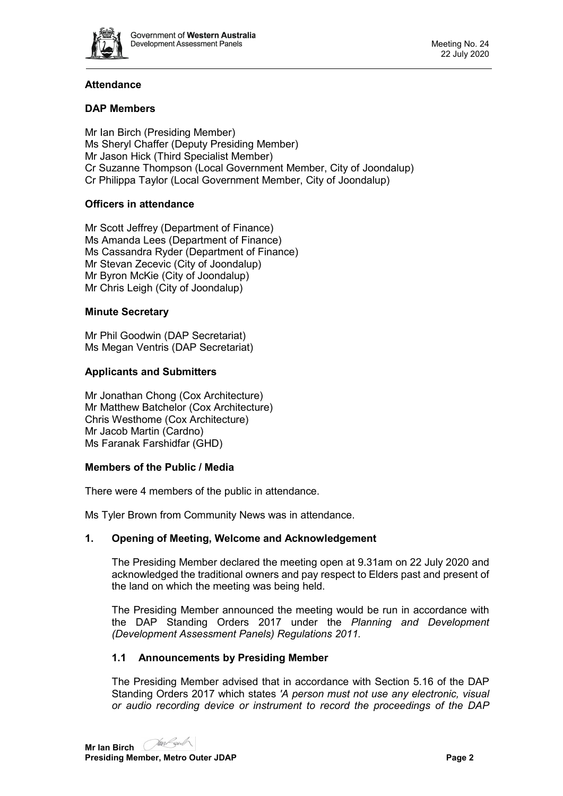

# **Attendance**

## **DAP Members**

Mr Ian Birch (Presiding Member) Ms Sheryl Chaffer (Deputy Presiding Member) Mr Jason Hick (Third Specialist Member) Cr Suzanne Thompson (Local Government Member, City of Joondalup) Cr Philippa Taylor (Local Government Member, City of Joondalup)

#### **Officers in attendance**

Mr Scott Jeffrey (Department of Finance) Ms Amanda Lees (Department of Finance) Ms Cassandra Ryder (Department of Finance) Mr Stevan Zecevic (City of Joondalup) Mr Byron McKie (City of Joondalup) Mr Chris Leigh (City of Joondalup)

#### **Minute Secretary**

Mr Phil Goodwin (DAP Secretariat) Ms Megan Ventris (DAP Secretariat)

#### **Applicants and Submitters**

Mr Jonathan Chong (Cox Architecture) Mr Matthew Batchelor (Cox Architecture) Chris Westhome (Cox Architecture) Mr Jacob Martin (Cardno) Ms Faranak Farshidfar (GHD)

#### **Members of the Public / Media**

There were 4 members of the public in attendance.

<span id="page-1-0"></span>Ms Tyler Brown from Community News was in attendance.

#### **1. Opening of Meeting, Welcome and Acknowledgement**

The Presiding Member declared the meeting open at 9.31am on 22 July 2020 and acknowledged the traditional owners and pay respect to Elders past and present of the land on which the meeting was being held.

The Presiding Member announced the meeting would be run in accordance with the DAP Standing Orders 2017 under the *Planning and Development (Development Assessment Panels) Regulations 2011.*

#### **1.1 Announcements by Presiding Member**

The Presiding Member advised that in accordance with Section 5.16 of the DAP Standing Orders 2017 which states *'A person must not use any electronic, visual or audio recording device or instrument to record the proceedings of the DAP*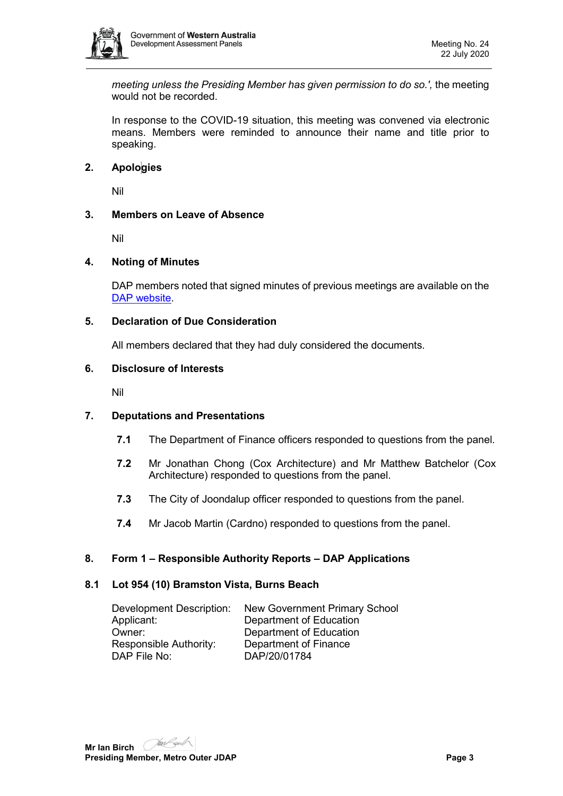

*meeting unless the Presiding Member has given permission to do so.',* the meeting would not be recorded.

In response to the COVID-19 situation, this meeting was convened via electronic means. Members were reminded to announce their name and title prior to speaking.

#### <span id="page-2-0"></span>**2. Apologies**

Nil

#### <span id="page-2-1"></span>**3. Members on Leave of Absence**

Nil

#### <span id="page-2-2"></span>**4. Noting of Minutes**

DAP members noted that signed minutes of previous meetings are available on the [DAP website.](https://www.dplh.wa.gov.au/about/development-assessment-panels/daps-agendas-and-minutes)

#### <span id="page-2-3"></span>**5. Declaration of Due Consideration**

All members declared that they had duly considered the documents.

#### <span id="page-2-4"></span>**6. Disclosure of Interests**

Nil

#### <span id="page-2-5"></span>**7. Deputations and Presentations**

- **7.1** The Department of Finance officers responded to questions from the panel.
- **7.2** Mr Jonathan Chong (Cox Architecture) and Mr Matthew Batchelor (Cox Architecture) responded to questions from the panel.
- **7.3** The City of Joondalup officer responded to questions from the panel.
- **7.4** Mr Jacob Martin (Cardno) responded to questions from the panel.

#### <span id="page-2-6"></span>**8. Form 1 – Responsible Authority Reports – DAP Applications**

#### <span id="page-2-7"></span>**8.1 Lot 954 (10) Bramston Vista, Burns Beach**

| <b>Development Description:</b> | New Government Primary School |
|---------------------------------|-------------------------------|
| Applicant:                      | Department of Education       |
| Owner:                          | Department of Education       |
| Responsible Authority:          | Department of Finance         |
| DAP File No:                    | DAP/20/01784                  |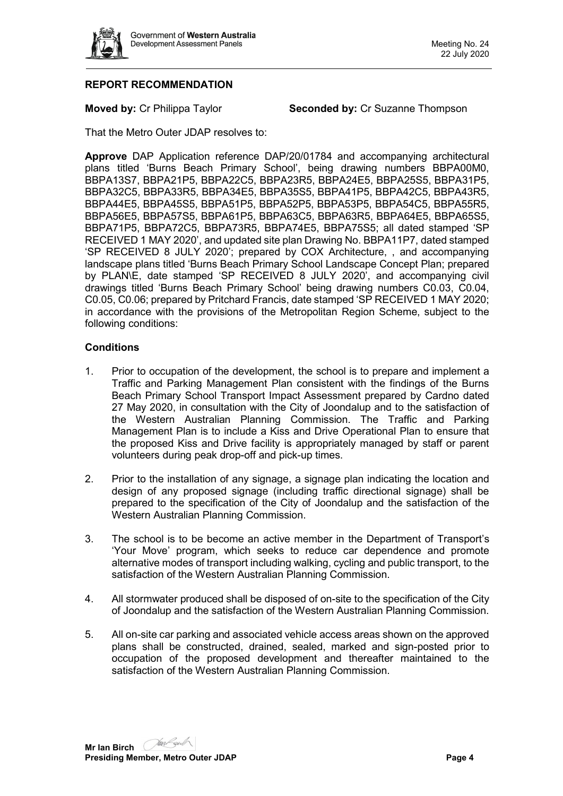

## **REPORT RECOMMENDATION**

**Moved by: Cr Philippa Taylor <b>Seconded by: Cr Suzanne Thompson** 

That the Metro Outer JDAP resolves to:

**Approve** DAP Application reference DAP/20/01784 and accompanying architectural plans titled 'Burns Beach Primary School', being drawing numbers BBPA00M0, BBPA13S7, BBPA21P5, BBPA22C5, BBPA23R5, BBPA24E5, BBPA25S5, BBPA31P5, BBPA32C5, BBPA33R5, BBPA34E5, BBPA35S5, BBPA41P5, BBPA42C5, BBPA43R5, BBPA44E5, BBPA45S5, BBPA51P5, BBPA52P5, BBPA53P5, BBPA54C5, BBPA55R5, BBPA56E5, BBPA57S5, BBPA61P5, BBPA63C5, BBPA63R5, BBPA64E5, BBPA65S5, BBPA71P5, BBPA72C5, BBPA73R5, BBPA74E5, BBPA75S5; all dated stamped 'SP RECEIVED 1 MAY 2020', and updated site plan Drawing No. BBPA11P7, dated stamped 'SP RECEIVED 8 JULY 2020'; prepared by COX Architecture, , and accompanying landscape plans titled 'Burns Beach Primary School Landscape Concept Plan; prepared by PLAN\E, date stamped 'SP RECEIVED 8 JULY 2020', and accompanying civil drawings titled 'Burns Beach Primary School' being drawing numbers C0.03, C0.04, C0.05, C0.06; prepared by Pritchard Francis, date stamped 'SP RECEIVED 1 MAY 2020; in accordance with the provisions of the Metropolitan Region Scheme, subject to the following conditions:

#### **Conditions**

- 1. Prior to occupation of the development, the school is to prepare and implement a Traffic and Parking Management Plan consistent with the findings of the Burns Beach Primary School Transport Impact Assessment prepared by Cardno dated 27 May 2020, in consultation with the City of Joondalup and to the satisfaction of the Western Australian Planning Commission. The Traffic and Parking Management Plan is to include a Kiss and Drive Operational Plan to ensure that the proposed Kiss and Drive facility is appropriately managed by staff or parent volunteers during peak drop-off and pick-up times.
- 2. Prior to the installation of any signage, a signage plan indicating the location and design of any proposed signage (including traffic directional signage) shall be prepared to the specification of the City of Joondalup and the satisfaction of the Western Australian Planning Commission.
- 3. The school is to be become an active member in the Department of Transport's 'Your Move' program, which seeks to reduce car dependence and promote alternative modes of transport including walking, cycling and public transport, to the satisfaction of the Western Australian Planning Commission.
- 4. All stormwater produced shall be disposed of on-site to the specification of the City of Joondalup and the satisfaction of the Western Australian Planning Commission.
- 5. All on-site car parking and associated vehicle access areas shown on the approved plans shall be constructed, drained, sealed, marked and sign-posted prior to occupation of the proposed development and thereafter maintained to the satisfaction of the Western Australian Planning Commission.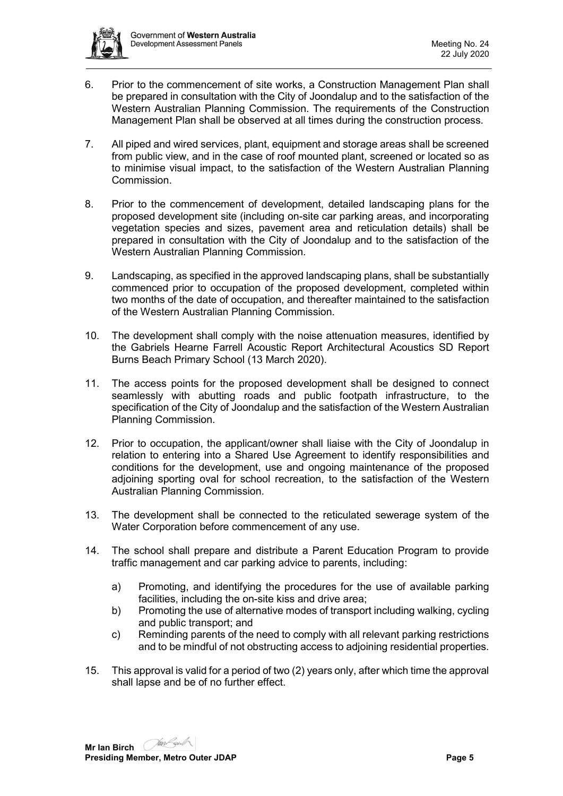

- 6. Prior to the commencement of site works, a Construction Management Plan shall be prepared in consultation with the City of Joondalup and to the satisfaction of the Western Australian Planning Commission. The requirements of the Construction Management Plan shall be observed at all times during the construction process.
- 7. All piped and wired services, plant, equipment and storage areas shall be screened from public view, and in the case of roof mounted plant, screened or located so as to minimise visual impact, to the satisfaction of the Western Australian Planning Commission.
- 8. Prior to the commencement of development, detailed landscaping plans for the proposed development site (including on-site car parking areas, and incorporating vegetation species and sizes, pavement area and reticulation details) shall be prepared in consultation with the City of Joondalup and to the satisfaction of the Western Australian Planning Commission.
- 9. Landscaping, as specified in the approved landscaping plans, shall be substantially commenced prior to occupation of the proposed development, completed within two months of the date of occupation, and thereafter maintained to the satisfaction of the Western Australian Planning Commission.
- 10. The development shall comply with the noise attenuation measures, identified by the Gabriels Hearne Farrell Acoustic Report Architectural Acoustics SD Report Burns Beach Primary School (13 March 2020).
- 11. The access points for the proposed development shall be designed to connect seamlessly with abutting roads and public footpath infrastructure, to the specification of the City of Joondalup and the satisfaction of the Western Australian Planning Commission.
- 12. Prior to occupation, the applicant/owner shall liaise with the City of Joondalup in relation to entering into a Shared Use Agreement to identify responsibilities and conditions for the development, use and ongoing maintenance of the proposed adjoining sporting oval for school recreation, to the satisfaction of the Western Australian Planning Commission.
- 13. The development shall be connected to the reticulated sewerage system of the Water Corporation before commencement of any use.
- 14. The school shall prepare and distribute a Parent Education Program to provide traffic management and car parking advice to parents, including:
	- a) Promoting, and identifying the procedures for the use of available parking facilities, including the on-site kiss and drive area;
	- b) Promoting the use of alternative modes of transport including walking, cycling and public transport; and
	- c) Reminding parents of the need to comply with all relevant parking restrictions and to be mindful of not obstructing access to adjoining residential properties.
- 15. This approval is valid for a period of two (2) years only, after which time the approval shall lapse and be of no further effect.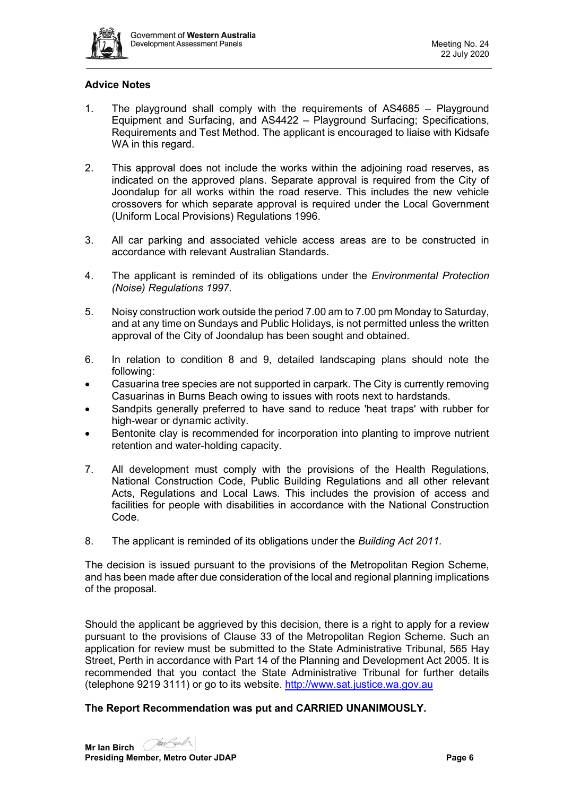

#### **Advice Notes**

- 1. The playground shall comply with the requirements of AS4685 Playground Equipment and Surfacing, and AS4422 – Playground Surfacing; Specifications, Requirements and Test Method. The applicant is encouraged to liaise with Kidsafe WA in this regard.
- 2. This approval does not include the works within the adjoining road reserves, as indicated on the approved plans. Separate approval is required from the City of Joondalup for all works within the road reserve. This includes the new vehicle crossovers for which separate approval is required under the Local Government (Uniform Local Provisions) Regulations 1996.
- 3. All car parking and associated vehicle access areas are to be constructed in accordance with relevant Australian Standards.
- 4. The applicant is reminded of its obligations under the *Environmental Protection (Noise) Regulations 1997.*
- 5. Noisy construction work outside the period 7.00 am to 7.00 pm Monday to Saturday, and at any time on Sundays and Public Holidays, is not permitted unless the written approval of the City of Joondalup has been sought and obtained.
- 6. In relation to condition 8 and 9, detailed landscaping plans should note the following:
- Casuarina tree species are not supported in carpark. The City is currently removing Casuarinas in Burns Beach owing to issues with roots next to hardstands.
- Sandpits generally preferred to have sand to reduce 'heat traps' with rubber for high-wear or dynamic activity.
- Bentonite clay is recommended for incorporation into planting to improve nutrient retention and water-holding capacity.
- 7. All development must comply with the provisions of the Health Regulations, National Construction Code, Public Building Regulations and all other relevant Acts, Regulations and Local Laws. This includes the provision of access and facilities for people with disabilities in accordance with the National Construction Code.
- 8. The applicant is reminded of its obligations under the *Building Act 2011.*

The decision is issued pursuant to the provisions of the Metropolitan Region Scheme, and has been made after due consideration of the local and regional planning implications of the proposal.

Should the applicant be aggrieved by this decision, there is a right to apply for a review pursuant to the provisions of Clause 33 of the Metropolitan Region Scheme. Such an application for review must be submitted to the State Administrative Tribunal, 565 Hay Street, Perth in accordance with Part 14 of the Planning and Development Act 2005. It is recommended that you contact the State Administrative Tribunal for further details (telephone 9219 3111) or go to its website. [http://www.sat.justice.wa.gov.au](http://www.sat.justice.wa.gov.au/)

#### **The Report Recommendation was put and CARRIED UNANIMOUSLY.**